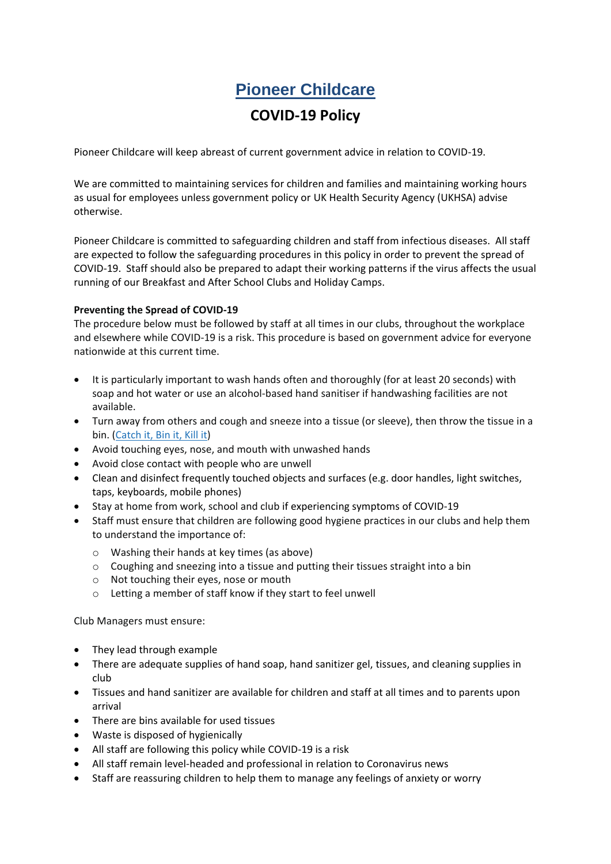# **Pioneer Childcare**

# **COVID-19 Policy**

Pioneer Childcare will keep abreast of current government advice in relation to COVID-19.

We are committed to maintaining services for children and families and maintaining working hours as usual for employees unless government policy or UK Health Security Agency (UKHSA) advise otherwise.

Pioneer Childcare is committed to safeguarding children and staff from infectious diseases. All staff are expected to follow the safeguarding procedures in this policy in order to prevent the spread of COVID-19. Staff should also be prepared to adapt their working patterns if the virus affects the usual running of our Breakfast and After School Clubs and Holiday Camps.

#### **Preventing the Spread of COVID-19**

The procedure below must be followed by staff at all times in our clubs, throughout the workplace and elsewhere while COVID-19 is a risk. This procedure is based on government advice for everyone nationwide at this current time.

- It is particularly important to wash hands often and thoroughly (for at least 20 seconds) with soap and hot water or use an alcohol-based hand sanitiser if handwashing facilities are not available.
- Turn away from others and cough and sneeze into a tissue (or sleeve), then throw the tissue in a bin. [\(Catch](https://campaignresources.phe.gov.uk/resources/campaigns/101/resources/5016) it, Bin it, Kill it)
- Avoid touching eyes, nose, and mouth with unwashed hands
- Avoid close contact with people who are unwell
- Clean and disinfect frequently touched objects and surfaces (e.g. door handles, light switches, taps, keyboards, mobile phones)
- Stay at home from work, school and club if experiencing symptoms of COVID-19
- Staff must ensure that children are following good hygiene practices in our clubs and help them to understand the importance of:
	- o Washing their hands at key times (as above)
	- o Coughing and sneezing into a tissue and putting their tissues straight into a bin
	- o Not touching their eyes, nose or mouth
	- o Letting a member of staff know if they start to feel unwell

Club Managers must ensure:

- They lead through example
- There are adequate supplies of hand soap, hand sanitizer gel, tissues, and cleaning supplies in club
- Tissues and hand sanitizer are available for children and staff at all times and to parents upon arrival
- There are bins available for used tissues
- Waste is disposed of hygienically
- All staff are following this policy while COVID-19 is a risk
- All staff remain level-headed and professional in relation to Coronavirus news
- Staff are reassuring children to help them to manage any feelings of anxiety or worry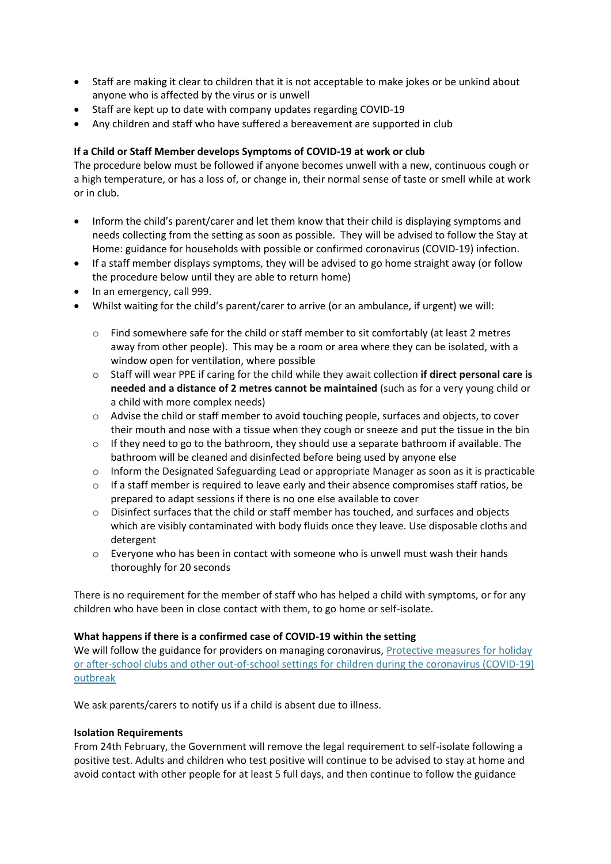- Staff are making it clear to children that it is not acceptable to make jokes or be unkind about anyone who is affected by the virus or is unwell
- Staff are kept up to date with company updates regarding COVID-19
- Any children and staff who have suffered a bereavement are supported in club

# **If a Child or Staff Member develops Symptoms of COVID-19 at work or club**

The procedure below must be followed if anyone becomes unwell with a new, continuous cough or a high temperature, or has a loss of, or change in, their normal sense of taste or smell while at work or in club.

- Inform the child's parent/carer and let them know that their child is displaying symptoms and needs collecting from the setting as soon as possible. They will be advised to follow the [Stay](https://www.gov.uk/government/publications/covid-19-stay-at-home-guidance/stay-at-home-guidance-for-households-with-possible-coronavirus-covid-19-infection) at Home: guidance for households with possible or confirmed [coronavirus](https://www.gov.uk/government/publications/covid-19-stay-at-home-guidance/stay-at-home-guidance-for-households-with-possible-coronavirus-covid-19-infection) (COVID-19) infection.
- If a staff member displays symptoms, they will be advised to go home straight away (or follow the procedure below until they are able to return home)
- In an emergency, call 999.
- Whilst waiting for the child's parent/carer to arrive (or an ambulance, if urgent) we will:
	- $\circ$  Find somewhere safe for the child or staff member to sit comfortably (at least 2 metres away from other people). This may be a room or area where they can be isolated, with a window open for ventilation, where possible
	- o Staff will wear PPE if caring for the child while they await collection **if direct personal care is needed and a distance of 2 metres cannot be maintained** (such as for a very young child or a child with more complex needs)
	- o Advise the child or staff member to avoid touching people, surfaces and objects, to cover their mouth and nose with a tissue when they cough or sneeze and put the tissue in the bin
	- $\circ$  If they need to go to the bathroom, they should use a separate bathroom if available. The bathroom will be cleaned and disinfected before being used by anyone else
	- $\circ$  Inform the Designated Safeguarding Lead or appropriate Manager as soon as it is practicable
	- $\circ$  If a staff member is required to leave early and their absence compromises staff ratios, be prepared to adapt sessions if there is no one else available to cover
	- o Disinfect surfaces that the child or staff member has touched, and surfaces and objects which are visibly contaminated with body fluids once they leave. Use disposable cloths and detergent
	- $\circ$  Everyone who has been in contact with someone who is unwell must wash their hands thoroughly for 20 seconds

There is no requirement for the member of staff who has helped a child with symptoms, or for any children who have been in close contact with them, to go home or self-isolate.

# **What happens if there is a confirmed case of COVID-19 within the setting**

We will follow the guidance for providers on managing coronavirus, Protective measures for holiday [or after-school clubs and other out-of-school settings for children during the coronavirus \(COVID-19\)](https://www.gov.uk/government/publications/protective-measures-for-holiday-or-after-school-clubs-and-other-out-of-school-settings-for-children-during-the-coronavirus-covid-19-outbreak?utm_medium=email&utm_campaign=govuk-notifications&utm_source=a509fa77-4846-4e65-9d1d-b5ed772a4136&utm_content=immediately#history)  [outbreak](https://www.gov.uk/government/publications/protective-measures-for-holiday-or-after-school-clubs-and-other-out-of-school-settings-for-children-during-the-coronavirus-covid-19-outbreak?utm_medium=email&utm_campaign=govuk-notifications&utm_source=a509fa77-4846-4e65-9d1d-b5ed772a4136&utm_content=immediately#history)

We ask parents/carers to notify us if a child is absent due to illness.

#### **Isolation Requirements**

From 24th February, the Government will remove the legal requirement to self-isolate following a positive test. Adults and children who test positive will continue to be advised to stay at home and avoid contact with other people for at least 5 full days, and then continue to follow the guidance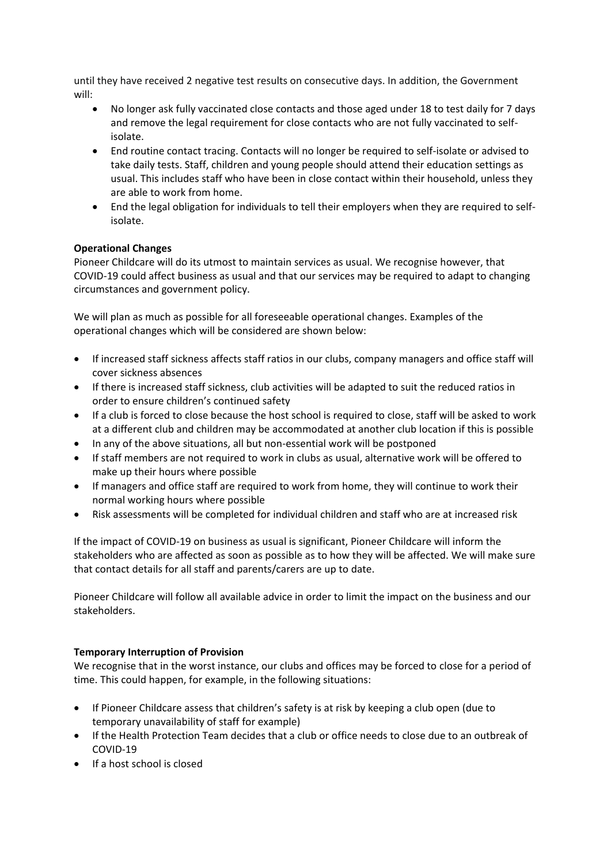until they have received 2 negative test results on consecutive days. In addition, the Government will:

- No longer ask fully vaccinated close contacts and those aged under 18 to test daily for 7 days and remove the legal requirement for close contacts who are not fully vaccinated to selfisolate.
- End routine contact tracing. Contacts will no longer be required to self-isolate or advised to take daily tests. Staff, children and young people should attend their education settings as usual. This includes staff who have been in close contact within their household, unless they are able to work from home.
- End the legal obligation for individuals to tell their employers when they are required to selfisolate.

# **Operational Changes**

Pioneer Childcare will do its utmost to maintain services as usual. We recognise however, that COVID-19 could affect business as usual and that our services may be required to adapt to changing circumstances and government policy.

We will plan as much as possible for all foreseeable operational changes. Examples of the operational changes which will be considered are shown below:

- If increased staff sickness affects staff ratios in our clubs, company managers and office staff will cover sickness absences
- If there is increased staff sickness, club activities will be adapted to suit the reduced ratios in order to ensure children's continued safety
- If a club is forced to close because the host school is required to close, staff will be asked to work at a different club and children may be accommodated at another club location if this is possible
- In any of the above situations, all but non-essential work will be postponed
- If staff members are not required to work in clubs as usual, alternative work will be offered to make up their hours where possible
- If managers and office staff are required to work from home, they will continue to work their normal working hours where possible
- Risk assessments will be completed for individual children and staff who are at increased risk

If the impact of COVID-19 on business as usual is significant, Pioneer Childcare will inform the stakeholders who are affected as soon as possible as to how they will be affected. We will make sure that contact details for all staff and parents/carers are up to date.

Pioneer Childcare will follow all available advice in order to limit the impact on the business and our stakeholders.

# **Temporary Interruption of Provision**

We recognise that in the worst instance, our clubs and offices may be forced to close for a period of time. This could happen, for example, in the following situations:

- If Pioneer Childcare assess that children's safety is at risk by keeping a club open (due to temporary unavailability of staff for example)
- If the Health Protection Team decides that a club or office needs to close due to an outbreak of COVID-19
- If a host school is closed